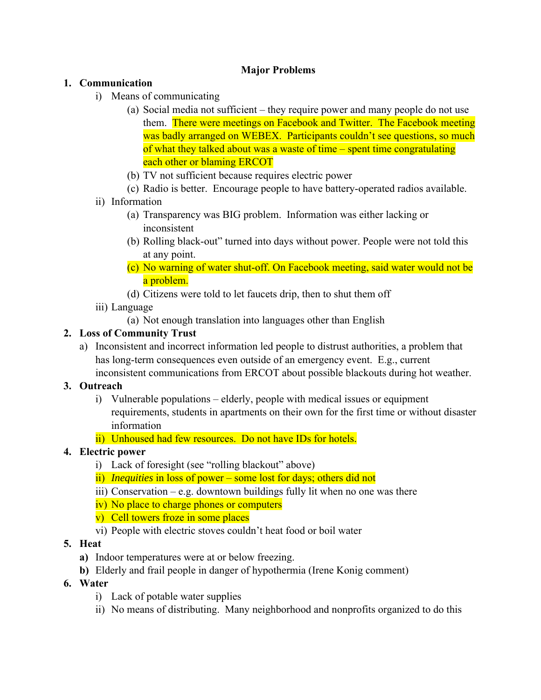# **Major Problems**

### **1. Communication**

- i) Means of communicating
	- (a) Social media not sufficient they require power and many people do not use them. There were meetings on Facebook and Twitter. The Facebook meeting was badly arranged on WEBEX. Participants couldn't see questions, so much of what they talked about was a waste of time – spent time congratulating each other or blaming ERCOT
	- (b) TV not sufficient because requires electric power
	- (c) Radio is better. Encourage people to have battery-operated radios available.
- ii) Information
	- (a) Transparency was BIG problem. Information was either lacking or inconsistent
	- (b) Rolling black-out" turned into days without power. People were not told this at any point.
	- (c) No warning of water shut-off. On Facebook meeting, said water would not be a problem.
	- (d) Citizens were told to let faucets drip, then to shut them off
- iii) Language
	- (a) Not enough translation into languages other than English

# **2. Loss of Community Trust**

a) Inconsistent and incorrect information led people to distrust authorities, a problem that has long-term consequences even outside of an emergency event. E.g., current inconsistent communications from ERCOT about possible blackouts during hot weather.

# **3. Outreach**

- i) Vulnerable populations elderly, people with medical issues or equipment requirements, students in apartments on their own for the first time or without disaster information
- ii) Unhoused had few resources. Do not have IDs for hotels.

# **4. Electric power**

- i) Lack of foresight (see "rolling blackout" above)
- ii) *Inequities* in loss of power some lost for days; others did not
- iii) Conservation e.g. downtown buildings fully lit when no one was there
- iv) No place to charge phones or computers
- v) Cell towers froze in some places
- vi) People with electric stoves couldn't heat food or boil water

#### **5. Heat**

- **a)** Indoor temperatures were at or below freezing.
- **b)** Elderly and frail people in danger of hypothermia (Irene Konig comment)

# **6. Water**

- i) Lack of potable water supplies
- ii) No means of distributing. Many neighborhood and nonprofits organized to do this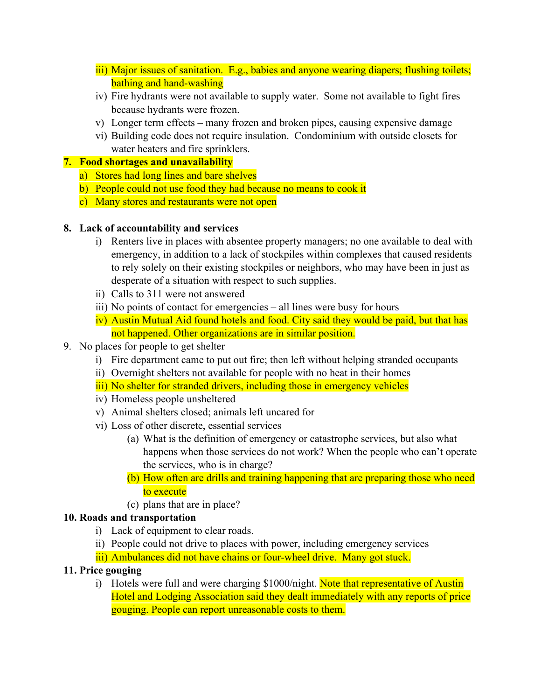- iii) Major issues of sanitation. E.g., babies and anyone wearing diapers; flushing toilets; bathing and hand-washing
- iv) Fire hydrants were not available to supply water. Some not available to fight fires because hydrants were frozen.
- v) Longer term effects many frozen and broken pipes, causing expensive damage
- vi) Building code does not require insulation. Condominium with outside closets for water heaters and fire sprinklers.

### **7. Food shortages and unavailability**

- a) Stores had long lines and bare shelves
- b) People could not use food they had because no means to cook it
- c) Many stores and restaurants were not open

### **8. Lack of accountability and services**

- i) Renters live in places with absentee property managers; no one available to deal with emergency, in addition to a lack of stockpiles within complexes that caused residents to rely solely on their existing stockpiles or neighbors, who may have been in just as desperate of a situation with respect to such supplies.
- ii) Calls to 311 were not answered
- iii) No points of contact for emergencies all lines were busy for hours
- iv) Austin Mutual Aid found hotels and food. City said they would be paid, but that has not happened. Other organizations are in similar position.
- 9. No places for people to get shelter
	- i) Fire department came to put out fire; then left without helping stranded occupants
	- ii) Overnight shelters not available for people with no heat in their homes
	- iii) No shelter for stranded drivers, including those in emergency vehicles
	- iv) Homeless people unsheltered
	- v) Animal shelters closed; animals left uncared for
	- vi) Loss of other discrete, essential services
		- (a) What is the definition of emergency or catastrophe services, but also what happens when those services do not work? When the people who can't operate the services, who is in charge?
		- (b) How often are drills and training happening that are preparing those who need to execute
		- (c) plans that are in place?

# **10. Roads and transportation**

- i) Lack of equipment to clear roads.
- ii) People could not drive to places with power, including emergency services
- iii) Ambulances did not have chains or four-wheel drive. Many got stuck.

#### **11. Price gouging**

i) Hotels were full and were charging \$1000/night. Note that representative of Austin Hotel and Lodging Association said they dealt immediately with any reports of price gouging. People can report unreasonable costs to them.